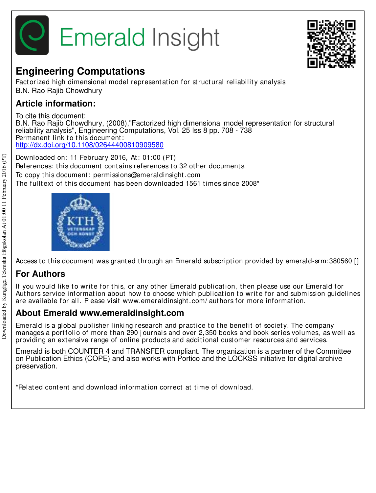



# **Engineering Computations**

Fact orized high dimensional model representation for structural reliability analysis B.N. Rao Rajib Chowdhury

# **Article information:**

To cite this document: B.N. Rao Rajib Chowdhury, (2008),"Factorized high dimensional model representation for structural reliability analysis", Engineering Computations, Vol. 25 Iss 8 pp. 708 - 738 Permanent link to this document: http://dx.doi.org/10.1108/02644400810909580

Downloaded on: 11 February 2016, At : 01:00 (PT) References: this document contains references to 32 other documents. To copy t his document : permissions@emeraldinsight .com The fulltext of this document has been downloaded 1561 times since  $2008<sup>*</sup>$ 



Access to this document was granted through an Emerald subscription provided by emerald-srm:380560 []

# **For Authors**

If you would like to write for this, or any other Emerald publication, then please use our Emerald for Authors service information about how to choose which publication to write for and submission quidelines are available for all. Please visit www.emeraldinsight.com/ authors for more information.

# **About Emerald www.emeraldinsight.com**

Emerald is a global publisher linking research and practice to the benefit of society. The company manages a portfolio of more than 290 journals and over 2,350 books and book series volumes, as well as providing an ext ensive range of online product s and addit ional cust omer resources and services.

Emerald is both COUNTER 4 and TRANSFER compliant. The organization is a partner of the Committee on Publication Ethics (COPE) and also works with Portico and the LOCKSS initiative for digital archive preservation.

\*Relat ed cont ent and download informat ion correct at t ime of download.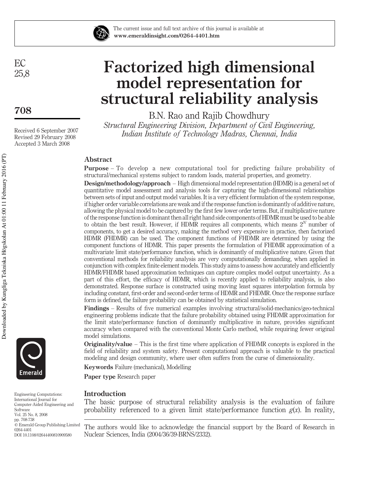

The current issue and full text archive of this journal is available at www.emeraldinsight.com/0264-4401.htm

# Factorized high dimensional model representation for structural reliability analysis

B.N. Rao and Rajib Chowdhury

*Structural Engineering Division, Department of Civil Engineering, Indian Institute of Technology Madras, Chennai, India*

# Abstract

Purpose – To develop a new computational tool for predicting failure probability of structural/mechanical systems subject to random loads, material properties, and geometry.

Design/methodology/approach – High dimensional model representation (HDMR) is a general set of quantitative model assessment and analysis tools for capturing the high-dimensional relationships between sets of input and output model variables. It is a very efficient formulation of the system response, if higher order variable correlations are weak and if the response function is dominantly of additive nature, allowing the physical model to be captured by the first few lower order terms. But, if multiplicative nature of the response function is dominant then all right hand side components of HDMR must be used to be able to obtain the best result. However, if HDMR requires all components, which means 2*<sup>N</sup>* number of components, to get a desired accuracy, making the method very expensive in practice, then factorized HDMR (FHDMR) can be used. The component functions of FHDMR are determined by using the component functions of HDMR. This paper presents the formulation of FHDMR approximation of a multivariate limit state/performance function, which is dominantly of multiplicative nature. Given that conventional methods for reliability analysis are very computationally demanding, when applied in conjunction with complex finite element models. This study aims to assess how accurately and efficiently HDMR/FHDMR based approximation techniques can capture complex model output uncertainty. As a part of this effort, the efficacy of HDMR, which is recently applied to reliability analysis, is also demonstrated. Response surface is constructed using moving least squares interpolation formula by including constant, first-order and second-order terms of HDMR and FHDMR. Once the response surface form is defined, the failure probability can be obtained by statistical simulation.

Findings – Results of five numerical examples involving structural/solid-mechanics/geo-technical engineering problems indicate that the failure probability obtained using FHDMR approximation for the limit state/performance function of dominantly multiplicative in nature, provides significant accuracy when compared with the conventional Monte Carlo method, while requiring fewer original model simulations.

Originality/value – This is the first time where application of FHDMR concepts is explored in the field of reliability and system safety. Present computational approach is valuable to the practical modeling and design community, where user often suffers from the curse of dimensionality.

Keywords Failure (mechanical), Modelling

Paper type Research paper

# Introduction

The basic purpose of structural reliability analysis is the evaluation of failure probability referenced to a given limit state/performance function  $g(x)$ . In reality,

The authors would like to acknowledge the financial support by the Board of Research in Nuclear Sciences, India (2004/36/39-BRNS/2332).



Received 6 September 2007 Revised 29 February 2008 Accepted 3 March 2008



Engineering Computations: International Journal for Computer-Aided Engineering and Software Vol. 25 No. 8, 2008 pp. 708-738  $\degree$  Emerald Group Publishing Limited 0264-4401 DOI 10.1108/02644400810909580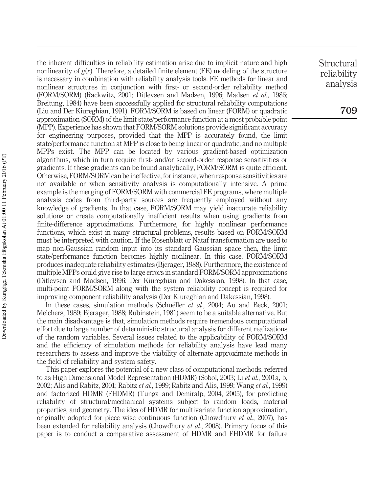the inherent difficulties in reliability estimation arise due to implicit nature and high nonlinearity of  $g(x)$ . Therefore, a detailed finite element (FE) modeling of the structure is necessary in combination with reliability analysis tools. FE methods for linear and nonlinear structures in conjunction with first- or second-order reliability method (FORM/SORM) (Rackwitz, 2001; Ditlevsen and Madsen, 1996; Madsen *et al.*, 1986; Breitung, 1984) have been successfully applied for structural reliability computations (Liu and Der Kiureghian, 1991). FORM/SORM is based on linear (FORM) or quadratic approximation (SORM) of the limit state/performance function at a most probable point (MPP). Experience has shown that FORM/SORM solutions provide significant accuracy for engineering purposes, provided that the MPP is accurately found, the limit state/performance function at MPP is close to being linear or quadratic, and no multiple MPPs exist. The MPP can be located by various gradient-based optimization algorithms, which in turn require first- and/or second-order response sensitivities or gradients. If these gradients can be found analytically, FORM/SORM is quite efficient. Otherwise, FORM/SORM can be ineffective, for instance, when response sensitivities are not available or when sensitivity analysis is computationally intensive. A prime example is the merging of FORM/SORM with commercial FE programs, where multiple analysis codes from third-party sources are frequently employed without any knowledge of gradients. In that case, FORM/SORM may yield inaccurate reliability solutions or create computationally inefficient results when using gradients from finite-difference approximations. Furthermore, for highly nonlinear performance functions, which exist in many structural problems, results based on FORM/SORM must be interpreted with caution. If the Rosenblatt or Nataf transformation are used to map non-Gaussian random input into its standard Gaussian space then, the limit state/performance function becomes highly nonlinear. In this case, FORM/SORM produces inadequate reliability estimates (Bjerager, 1988). Furthermore, the existence of multiple MPPs could give rise to large errors in standard FORM/SORM approximations (Ditlevsen and Madsen, 1996; Der Kiureghian and Dakessian, 1998). In that case, multi-point FORM/SORM along with the system reliability concept is required for improving component reliability analysis (Der Kiureghian and Dakessian, 1998).

In these cases, simulation methods (Schueller *et al.*, 2004; Au and Beck, 2001; Melchers, 1989; Bjerager, 1988; Rubinstein, 1981) seem to be a suitable alternative. But the main disadvantage is that, simulation methods require tremendous computational effort due to large number of deterministic structural analysis for different realizations of the random variables. Several issues related to the applicability of FORM/SORM and the efficiency of simulation methods for reliability analysis have lead many researchers to assess and improve the viability of alternate approximate methods in the field of reliability and system safety.

This paper explores the potential of a new class of computational methods, referred to as High Dimensional Model Representation (HDMR) (Sobol, 2003; Li *et al.*, 2001a, b, 2002; Alis and Rabitz, 2001; Rabitz *et al.*, 1999; Rabitz and Alis, 1999; Wang *et al.*, 1999) and factorized HDMR (FHDMR) (Tunga and Demiralp, 2004, 2005), for predicting reliability of structural/mechanical systems subject to random loads, material properties, and geometry. The idea of HDMR for multivariate function approximation, originally adopted for piece wise continuous function (Chowdhury *et al.*, 2007), has been extended for reliability analysis (Chowdhury *et al.*, 2008). Primary focus of this paper is to conduct a comparative assessment of HDMR and FHDMR for failure **Structural** reliability analysis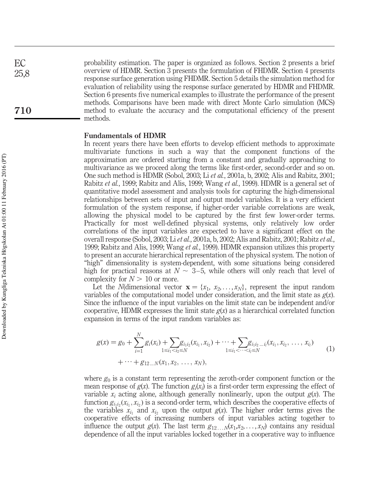probability estimation. The paper is organized as follows. Section 2 presents a brief overview of HDMR. Section 3 presents the formulation of FHDMR. Section 4 presents response surface generation using FHDMR. Section 5 details the simulation method for evaluation of reliability using the response surface generated by HDMR and FHDMR. Section 6 presents five numerical examples to illustrate the performance of the present methods. Comparisons have been made with direct Monte Carlo simulation (MCS) method to evaluate the accuracy and the computational efficiency of the present methods.

# Fundamentals of HDMR

In recent years there have been efforts to develop efficient methods to approximate multivariate functions in such a way that the component functions of the approximation are ordered starting from a constant and gradually approaching to multivariance as we proceed along the terms like first-order, second-order and so on. One such method is HDMR (Sobol, 2003; Li *et al.*, 2001a, b, 2002; Alis and Rabitz, 2001; Rabitz *et al.*, 1999; Rabitz and Alis, 1999; Wang *et al.*, 1999). HDMR is a general set of quantitative model assessment and analysis tools for capturing the high-dimensional relationships between sets of input and output model variables. It is a very efficient formulation of the system response, if higher-order variable correlations are weak, allowing the physical model to be captured by the first few lower-order terms. Practically for most well-defined physical systems, only relatively low order correlations of the input variables are expected to have a significant effect on the overall response (Sobol, 2003; Li *et al.*, 2001a, b, 2002; Alis and Rabitz, 2001; Rabitz *et al.*, 1999; Rabitz and Alis, 1999; Wang *et al.*, 1999). HDMR expansion utilizes this property to present an accurate hierarchical representation of the physical system. The notion of "high" dimensionality is system-dependent, with some situations being considered high for practical reasons at  $N \sim 3-5$ , while others will only reach that level of complexity for  $N > 10$  or more.

Let the *N*(dimensional vector  $\mathbf{x} = \{x_1, x_2, \ldots, x_N\}$ , represent the input random variables of the computational model under consideration, and the limit state as *g*(*x*). Since the influence of the input variables on the limit state can be independent and/or cooperative, HDMR expresses the limit state  $g(x)$  as a hierarchical correlated function expansion in terms of the input random variables as:

$$
g(x) = g_0 + \sum_{i=1}^{N} g_i(x_i) + \sum_{1 \le i_1 < i_2 \le N} g_{i_1 i_2}(x_{i_1}, x_{i_2}) + \dots + \sum_{1 \le i_1 < \dots < i_l \le N} g_{i_1 i_2 \dots i_l}(x_{i_1}, x_{i_2}, \dots, x_{i_l})
$$
  
+  $\dots + g_{12 \dots N}(x_1, x_2, \dots, x_N),$  (1)

where  $g_0$  is a constant term representing the zeroth-order component function or the mean response of  $g(x)$ . The function  $g_i(x_i)$  is a first-order term expressing the effect of variable  $x_i$  acting alone, although generally nonlinearly, upon the output  $g(x)$ . The function  $g_{i_1 i_2}(x_{i_1}, x_{i_2})$  is a second-order term, which describes the cooperative effects of the variables  $x_{i_1}$  and  $x_{i_2}$  upon the output  $g(x)$ . The higher order terms gives the cooperative effects of increasing numbers of input variables acting together to influence the output  $g(x)$ . The last term  $g_{12} \dots \hat{g_{1x}}_{1}$ ,  $x_2 \dots, x_N$  contains any residual dependence of all the input variables locked together in a cooperative way to influence

EC 25,8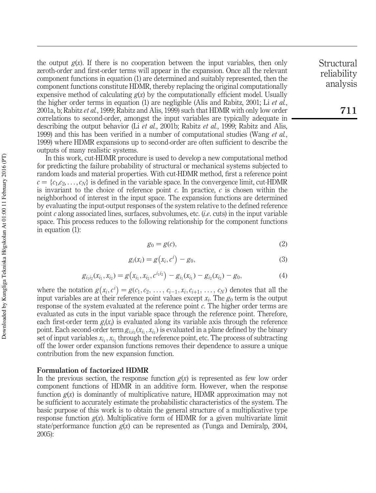the output  $g(x)$ . If there is no cooperation between the input variables, then only zeroth-order and first-order terms will appear in the expansion. Once all the relevant component functions in equation (1) are determined and suitably represented, then the component functions constitute HDMR, thereby replacing the original computationally expensive method of calculating  $g(x)$  by the computationally efficient model. Usually the higher order terms in equation (1) are negligible (Alis and Rabitz, 2001; Li *et al.*, 2001a, b; Rabitz *et al.*, 1999; Rabitz and Alis, 1999) such that HDMR with only low order correlations to second-order, amongst the input variables are typically adequate in describing the output behavior (Li *et al.*, 2001b; Rabitz *et al.*, 1999; Rabitz and Alis, 1999) and this has been verified in a number of computational studies (Wang *et al.*, 1999) where HDMR expansions up to second-order are often sufficient to describe the outputs of many realistic systems.

In this work, cut-HDMR procedure is used to develop a new computational method for predicting the failure probability of structural or mechanical systems subjected to random loads and material properties. With cut-HDMR method, first a reference point  $c = \{c_1, c_2, \ldots, c_N\}$  is defined in the variable space. In the convergence limit, cut-HDMR is invariant to the choice of reference point  $c$ . In practice,  $c$  is chosen within the neighborhood of interest in the input space. The expansion functions are determined by evaluating the input-output responses of the system relative to the defined reference point *c* along associated lines, surfaces, subvolumes, etc. (*i*.*e*. cuts) in the input variable space. This process reduces to the following relationship for the component functions in equation (1):

$$
g_0 = g(c),\tag{2}
$$

$$
g_i(x_i) = g(x_i, c^i) - g_0,
$$
\n<sup>(3)</sup>

$$
g_{i_1i_2}(x_{i_1}, x_{i_2}) = g(x_{i_1}, x_{i_2}, c^{i_1i_2}) - g_{i_1}(x_{i_1}) - g_{i_2}(x_{i_2}) - g_0,
$$
\n(4)

where the notation  $g(x_i, c^i) = g(c_1, c_2, \ldots, c_{i-1}, x_i, c_{i+1}, \ldots, c_N)$  denotes that all the input variables are at their reference point values except  $x_i$ . The  $g_0$  term is the output response of the system evaluated at the reference point *c*. The higher order terms are evaluated as cuts in the input variable space through the reference point. Therefore, each first-order term  $g_i(x_i)$  is evaluated along its variable axis through the reference point. Each second-order term  $g_{i_1i_2}(x_{i_1},x_{i_2})$  is evaluated in a plane defined by the binary set of input variables  $x_{i_1}, x_{i_2}$  through the reference point, etc. The process of subtracting off the lower order expansion functions removes their dependence to assure a unique contribution from the new expansion function.

#### Formulation of factorized HDMR

In the previous section, the response function  $g(x)$  is represented as few low order component functions of HDMR in an additive form. However, when the response function  $g(x)$  is dominantly of multiplicative nature, HDMR approximation may not be sufficient to accurately estimate the probabilistic characteristics of the system. The basic purpose of this work is to obtain the general structure of a multiplicative type response function  $g(x)$ . Multiplicative form of HDMR for a given multivariate limit state/performance function  $g(x)$  can be represented as (Tunga and Demiralp, 2004, 2005):

**Structural** reliability analysis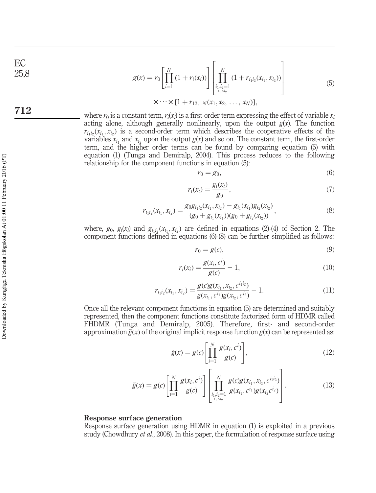EC 25,8

712

$$
g(x) = r_0 \left[ \prod_{i=1}^N (1 + r_i(x_i)) \right] \left[ \prod_{\substack{i_1, i_2 = 1 \\ i_1 < i_2}}^N (1 + r_{i_1 i_2}(x_{i_1}, x_{i_2})) \right]
$$
  
 
$$
\times \cdots \times [1 + r_{12 \dots N}(x_1, x_2, \dots, x_N)],
$$
 (5)

where  $r_0$  is a constant term,  $r_i(x_i)$  is a first-order term expressing the effect of variable  $x_i$ acting alone, although generally nonlinearly, upon the output  $g(x)$ . The function  $r_{i_1 i_2}(x_{i_1}, x_{i_2})$  is a second-order term which describes the cooperative effects of the variables  $x_{i_1}$  and  $x_{i_2}$  upon the output  $g(x)$  and so on. The constant term, the first-order term, and the higher order terms can be found by comparing equation (5) with equation (1) (Tunga and Demiralp, 2004). This process reduces to the following relationship for the component functions in equation (5):

$$
r_0 = g_0,\tag{6}
$$

$$
r_i(x_i) = \frac{g_i(x_i)}{g_0},\tag{7}
$$

$$
r_{i_1i_2}(x_{i_1}, x_{i_2}) = \frac{g_0 g_{i_1i_2}(x_{i_1}, x_{i_2}) - g_{i_1}(x_{i_1}) g_{i_2}(x_{i_2})}{(g_0 + g_{i_1}(x_{i_1}))(g_0 + g_{i_2}(x_{i_2}))},
$$
\n(8)

where,  $g_0$ ,  $g_i(x_i)$  and  $g_{i_1i_2}(x_{i_1}, x_{i_2})$  are defined in equations (2)-(4) of Section 2. The component functions defined in equations (6)-(8) can be further simplified as follows:

$$
r_0 = g(c),\tag{9}
$$

$$
r_i(x_i) = \frac{g(x_i, c^i)}{g(c)} - 1,
$$
\n(10)

$$
r_{i_1i_2}(x_{i_1}, x_{i_2}) = \frac{g(c)g(x_{i_1}, x_{i_2}, c^{i_1i_2})}{g(x_{i_1}, c^{i_1})g(x_{i_2}, c^{i_2})} - 1.
$$
\n(11)

Once all the relevant component functions in equation (5) are determined and suitably represented, then the component functions constitute factorized form of HDMR called FHDMR (Tunga and Demiralp, 2005). Therefore, first- and second-order approximation  $\tilde{g}(x)$  of the original implicit response function  $g(x)$  can be represented as:

$$
\tilde{g}(x) = g(c) \left[ \prod_{i=1}^{N} \frac{g(x_i, c^i)}{g(c)} \right],\tag{12}
$$

$$
\tilde{g}(x) = g(c) \left[ \prod_{i=1}^{N} \frac{g(x_i, c^i)}{g(c)} \right] \left[ \prod_{\substack{i_1, i_2 = 1 \\ i_1 < i_2}}^{N} \frac{g(c)g(x_{i_1}, x_{i_2}, c^{i_1 i_2})}{g(x_{i_1}, c^{i_1})g(x_{i_2} c^{i_2})} \right]. \tag{13}
$$

# Response surface generation

Response surface generation using HDMR in equation (1) is exploited in a previous study (Chowdhury *et al.*, 2008). In this paper, the formulation of response surface using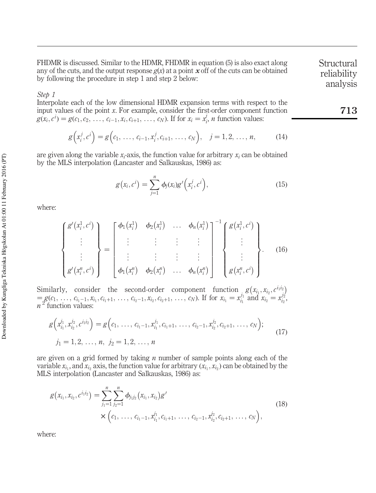FHDMR is discussed. Similar to the HDMR, FHDMR in equation (5) is also exact along any of the cuts, and the output response  $g(x)$  at a point x off of the cuts can be obtained by following the procedure in step 1 and step 2 below:

#### *Step 1*

Interpolate each of the low dimensional HDMR expansion terms with respect to the input values of the point *x*. For example, consider the first-order component function  $g(x_i, c^i) = g(c_1, c_2, \ldots, c_{i-1}, x_i, c_{i+1}, \ldots, c_N)$ . If for  $x_i = x_i^j$ , *n* function values:

$$
g(x_i^j, c^i) = g(c_1, \ldots, c_{i-1}, x_i^j, c_{i+1}, \ldots, c_N), \quad j = 1, 2, \ldots, n,
$$
 (14)

are given along the variable  $x_i$ -axis, the function value for arbitrary  $x_i$  can be obtained by the MLS interpolation (Lancaster and Salkauskas, 1986) as:

$$
g(x_i, c^i) = \sum_{j=1}^n \phi_j(x_i) g^i\left(x_i^j, c^i\right), \qquad (15)
$$

where:

$$
\begin{Bmatrix} g'(x_i^1, c^i) \\ \vdots \\ g'(x_i^n, c^i) \end{Bmatrix} = \begin{bmatrix} \phi_1(x_i^1) & \phi_2(x_i^1) & \dots & \phi_n(x_i^1) \\ \vdots & \vdots & \vdots & \vdots \\ \phi_1(x_i^n) & \phi_2(x_i^n) & \dots & \phi_n(x_i^n) \end{bmatrix}^{-1} \begin{Bmatrix} g(x_i^1, c^i) \\ \vdots \\ g(x_i^n, c^i) \end{Bmatrix} .
$$
 (16)

Similarly, consider the second-order component function  $g(x_i, x_i, c^{i_1 i_2})$  $=g(c_1, \ldots, c_{i_1-1}, x_{i_1}, c_{i_1+1}, \ldots, c_{i_2-1}, x_{i_2}, c_{i_2+1}, \ldots, c_N)$ . If for  $x_{i_1}=x_{i_1}^{j_1}$  and  $x_{i_2}=x_{i_2}^{j_2}$ .  $n^2$  function values:

$$
g\left(x_{i_1}^{j_1}, x_{i_2}^{j_2}, c^{i_1 i_2}\right) = g\left(c_1, \ldots, c_{i_1-1}, x_{i_1}^{j_1}, c_{i_1+1}, \ldots, c_{i_2-1}, x_{i_2}^{j_2}, c_{i_2+1}, \ldots, c_N\right);
$$
  
\n
$$
j_1 = 1, 2, \ldots, n, \ j_2 = 1, 2, \ldots, n
$$
\n(17)

are given on a grid formed by taking *n* number of sample points along each of the variable  $x_{i_1}$ , and  $x_{i_2}$  axis, the function value for arbitrary  $(x_{i_1}, x_{i_2})$  can be obtained by the MLS interpolation (Lancaster and Salkauskas, 1986) as:

$$
g(x_{i_1}, x_{i_2}, c^{i_1 i_2}) = \sum_{j_1=1}^n \sum_{j_2=1}^n \phi_{j_1 j_2}(x_{i_1}, x_{i_2}) g'
$$
  
 
$$
\times (c_1, \ldots, c_{i_1-1}, x_{i_1}^{j_1}, c_{i_1+1}, \ldots, c_{i_2-1}, x_{i_2}^{j_2}, c_{i_2+1}, \ldots, c_N),
$$
 (18)

where:

**Structural** reliability analysis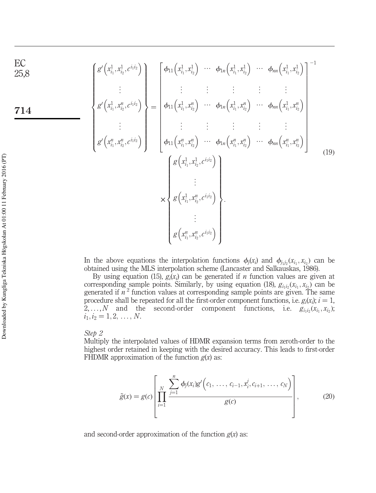$$
\frac{714}{4}
$$
\n
$$
\frac{\left[ \begin{array}{c} s' \left( x_{i_1}^1, x_{i_2}^1, c^{i_1 i_2} \right) \\ \vdots \\ s' \left( x_{i_1}^1, x_{i_2}^n, c^{i_1 i_2} \right) \\ \vdots \\ s' \left( x_{i_1}^1, x_{i_2}^n, c^{i_1 i_2} \right) \end{array} \right] = \begin{bmatrix} \phi_{11} \left( x_{i_1}^1, x_{i_2}^1 \right) \cdots \phi_{1n} \left( x_{i_1}^1, x_{i_2}^1 \right) \cdots \phi_{nn} \left( x_{i_1}^1, x_{i_2}^n \right) \\ \vdots \\ \phi_{11} \left( x_{i_1}^1, x_{i_2}^n \right) \cdots \phi_{1n} \left( x_{i_1}^1, x_{i_2}^n \right) \cdots \phi_{nn} \left( x_{i_1}^1, x_{i_2}^n \right) \\ \vdots \\ \phi_{11} \left( x_{i_1}^n, x_{i_2}^n \right) \cdots \phi_{1n} \left( x_{i_1}^n, x_{i_2}^n \right) \cdots \phi_{nn} \left( x_{i_1}^n, x_{i_2}^n \right) \end{bmatrix}^{-1}
$$
\n
$$
\times \left\{ \begin{array}{c} s \left( x_{i_1}^1, x_{i_2}^1, c^{i_1 i_2} \right) \\ \vdots \\ s \left( x_{i_1}^1, x_{i_2}^n, c^{i_1 i_2} \right) \\ \vdots \\ s \left( x_{i_1}^n, x_{i_2}^n, c^{i_1 i_2} \right) \\ \vdots \\ s \left( x_{i_1}^n, x_{i_2}^n, c^{i_1 i_2} \right) \end{array} \right\}.
$$
\n(19)

In the above equations the interpolation functions  $\phi_j(x_i)$  and  $\phi_{j_1j_2}(x_{i_1}, x_{i_2})$  can be obtained using the MLS interpolation scheme (Lancaster and Salkauskas, 1986).

By using equation (15),  $g_i(x_i)$  can be generated if *n* function values are given at corresponding sample points. Similarly, by using equation (18),  $g_{i_1 i_2}(x_{i_1}, x_{i_2})$  can be generated if  $n^2$  function values at corresponding sample points are given. The same procedure shall be repeated for all the first-order component functions, i.e.  $g_i(x_i)$ ;  $i = 1$ ,  $\overline{2}, \ldots, N$  and the second-order component functions, i.e.  $g_{i_1 i_2}(x_{i_1}, x_{i_2})$ ;  $i_1, i_2 = 1, 2, \ldots, N$ .

#### *Step 2*

Multiply the interpolated values of HDMR expansion terms from zeroth-order to the highest order retained in keeping with the desired accuracy. This leads to first-order FHDMR approximation of the function  $g(x)$  as:

$$
\tilde{g}(x) = g(c) \left[ \prod_{i=1}^{N} \frac{\sum_{j=1}^{n} \phi_j(x_i) g'(c_1, \dots, c_{i-1}, x_i^j, c_{i+1}, \dots, c_N)}{g(c)} \right],
$$
\n(20)

and second-order approximation of the function  $g(x)$  as: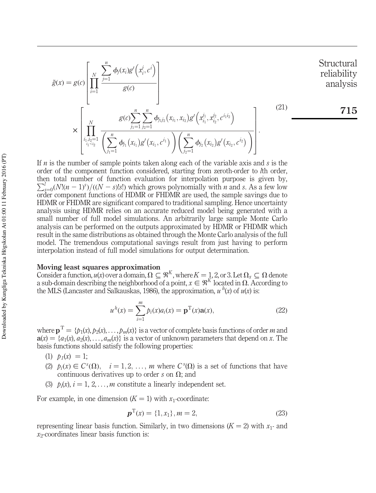$$
\tilde{g}(x) = g(c) \left[ \prod_{i=1}^{N} \frac{\sum_{j=1}^{n} \phi_{j}(x_{i})g'\left(x_{i}^{j}, c^{i}\right)}{g(c)} \right]
$$
\n
$$
\times \left[ \prod_{\substack{i_{1}, i_{2}=1 \\ i_{1} \leq i_{2}}}^{N} \frac{g(c) \sum_{j_{1}=1}^{n} \sum_{j_{2}=1}^{n} \phi_{j_{1}j_{2}}(x_{i_{1}}, x_{i_{2}})g'\left(x_{i_{1}}^{j}, x_{i_{2}}^{j_{2}}, c^{i_{1}i_{2}}\right)}{\left(\sum_{j_{1}=1}^{n} \phi_{j_{1}}(x_{i_{1}})g'\left(x_{i_{1}}, c^{i_{1}}\right)\right)\left(\sum_{j_{2}=1}^{n} \phi_{j_{2}}(x_{i_{2}})g'\left(x_{i_{2}}, c^{i_{2}}\right)\right)} \right].
$$
\n(21)

If *n* is the number of sample points taken along each of the variable axis and *s* is the order of the component function considered, starting from zeroth-order to *l*th order, then total number of function evaluation for interpolation purpose is given by,  $\sum_{s=0}^{l} (N!(n-1)^s)/(N-s)!s!)$  which grows polynomially with *n* and *s*. As a few low order component functions of HDMR or FHDMR are used, the sample savings due to HDMR or FHDMR are significant compared to traditional sampling. Hence uncertainty analysis using HDMR relies on an accurate reduced model being generated with a small number of full model simulations. An arbitrarily large sample Monte Carlo analysis can be performed on the outputs approximated by HDMR or FHDMR which result in the same distributions as obtained through the Monte Carlo analysis of the full model. The tremendous computational savings result from just having to perform interpolation instead of full model simulations for output determination.

#### Moving least squares approximation

Consider a function,  $u(x)$  over a domain,  $\Omega \subseteq \mathbb{R}^K$ , where  $K = 1, 2,$  or 3. Let  $\Omega_x \subseteq \Omega$  denote a sub-domain describing the neighborhood of a point,  $x \in \mathbb{R}^K$  located in  $\Omega$ . According to the MLS (Lancaster and Salkauskas, 1986), the approximation,  $u^h(x)$  of  $u(x)$  is:

$$
u^h(x) = \sum_{i=1}^m p_i(x)a_i(x) = \mathbf{p}^{\mathrm{T}}(x)\mathbf{a}(x),
$$
\n(22)

where  $\mathbf{p}^{\mathrm{T}} = \{p_1(x), p_2(x), \ldots, p_m(x)\}$  is a vector of complete basis functions of order *m* and  $\mathbf{a}(x) = \{a_1(x), a_2(x), \ldots, a_m(x)\}\$ is a vector of unknown parameters that depend on *x*. The basis functions should satisfy the following properties:

- (1)  $p_1(x) = 1;$
- (2)  $p_i(x) \in C^s(\Omega)$ ,  $i = 1, 2, ..., m$  where  $C^s(\Omega)$  is a set of functions that have continuous derivatives up to order  $s$  on  $\Omega$ ; and
- (3)  $p_i(x)$ ,  $i = 1, 2, \ldots, m$  constitute a linearly independent set.

For example, in one dimension  $(K = 1)$  with  $x_1$ -coordinate:

$$
\boldsymbol{p}^{\mathrm{T}}(x) = \{1, x_1\}, m = 2,\tag{23}
$$

representing linear basis function. Similarly, in two dimensions  $(K = 2)$  with  $x_1$ - and *x*2 -coordinates linear basis function is: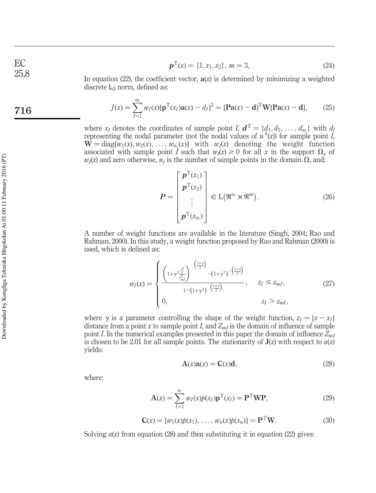$$
\boldsymbol{p}^{\mathrm{T}}(x) = \{1, x_1, x_2\}, \, m = 3,\tag{24}
$$

In equation (22), the coefficient vector,  $a(x)$  is determined by minimizing a weighted discrete  $L_2$  norm, defined as:

$$
J(x) = \sum_{I=1}^{n_I} w_I(x) [\mathbf{p}^{\mathrm{T}}(x_I)\mathbf{a}(x) - d_I]^2 = [\mathbf{Pa}(x) - \mathbf{d}]^{\mathrm{T}} \mathbf{W} [\mathbf{Pa}(x) - \mathbf{d}], \tag{25}
$$

where  $x_I$  denotes the coordinates of sample point *I*,  $\mathbf{d}^T = \{d_1, d_2, \ldots, d_{n_I}\}\$  with  $d_I$ representing the nodal parameter (not the nodal values of  $u^h(x)$ ) for sample point *I*,  $\mathbf{W} = \text{diag}[w_1(x), w_2(x), \dots, w_{n_t}(x)]$  with  $w_1(x)$  denoting the weight function associated with sample point *I* such that  $w_I(x) \ge 0$  for all *x* in the support  $\Omega_x$  of  $w<sub>I</sub>(x)$  and zero otherwise,  $n<sub>t</sub>$  is the number of sample points in the domain  $\Omega$ , and:

$$
P = \begin{bmatrix} p^{\mathrm{T}}(x_1) \\ p^{\mathrm{T}}(x_2) \\ \vdots \\ p^{\mathrm{T}}(x_{n_i}) \end{bmatrix} \in L(\mathfrak{R}^{n_i} \times \mathfrak{R}^m).
$$
 (26)

A number of weight functions are available in the literature (Singh, 2004; Rao and Rahman, 2000). In this study, a weight function proposed by Rao and Rahman (2000) is used, which is defined as:

$$
w_I(x) = \begin{cases} \frac{\left(1+\gamma^2\frac{z_I^2}{z_H}\right)^{-\left(\frac{1+\gamma}{2}\right)} - (1+\gamma^2)^{-\left(\frac{1+\gamma}{2}\right)}}{1-(1+\gamma^2)^{-\left(\frac{1+\gamma}{2}\right)}}, & z_I \le z_{ml},\\ 0, & z_I > z_{ml}, \end{cases}
$$
(27)

where  $\gamma$  is a parameter controlling the shape of the weight function,  $z_I = |x - x_I|$ distance from a point *x* to sample point *I*, and  $Z_{mI}$  is the domain of influence of sample point *I*. In the numerical examples presented in this paper the domain of influence *ZmI* is chosen to be 2.01 for all sample points. The stationarity of  $J(x)$  with respect to  $a(x)$ yields:

$$
\mathbf{A}(x)\mathbf{a}(x) = \mathbf{C}(x)\mathbf{d},\tag{28}
$$

where:

$$
\mathbf{A}(x) = \sum_{I=1}^{n_l} w_I(x) p(x_I) \mathbf{p}^{\mathrm{T}}(x_I) = \mathbf{P}^{\mathrm{T}} \mathbf{W} \mathbf{P},
$$
\n(29)

$$
\mathbf{C}(x) = [w_1(x)p(x_1), \dots, w_n(x)p(x_n)] = \mathbf{P}^T \mathbf{W}.
$$
 (30)

Solving  $a(x)$  from equation (28) and then substituting it in equation (22) gives:

EC 25,8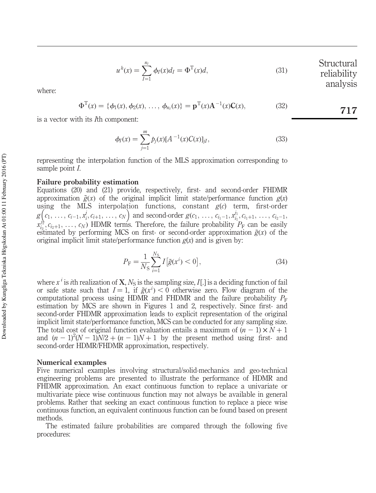ð*x*ÞCð*x*Þ; ð32Þ

717

where:

$$
\Phi^{T}(x) = \{\phi_1(x), \phi_2(x), \ldots, \phi_{n_l}(x)\} = \mathbf{p}^{T}(x)\mathbf{A}^{-1}(x)\mathbf{C}(x),
$$

is a vector with its *I*th component:

$$
\phi_I(x) = \sum_{j=1}^m p_j(x) [A^{-1}(x)C(x)]_{jI},
$$
\n(33)

representing the interpolation function of the MLS approximation corresponding to sample point *I*.

## Failure probability estimation

Equations (20) and (21) provide, respectively, first- and second-order FHDMR approximation  $\tilde{g}(x)$  of the original implicit limit state/performance function  $g(x)$ using the MLS interpolation functions, constant *g*(*c*) term, first-order  $g(c_1, ..., c_{i-1}, x_i^j, c_{i+1}, ..., c_N)$  and second-order  $g(c_1, ..., c_{i_1-1}, x_{i_1}^{j_1}, c_{i_1+1}, ..., c_{i_2-1},$  $x_{i_2}^{j_2}, c_{i_2+1}, \ldots, c_N$  HDMR terms. Therefore, the failure probability *P<sub>F</sub>* can be easily estimated by performing MCS on first- or second-order approximation  $\tilde{g}(x)$  of the original implicit limit state/performance function  $g(x)$  and is given by:

$$
P_{\mathcal{F}} = \frac{1}{N_{\mathcal{S}}} \sum_{i=1}^{N_{\mathcal{S}}} I\left[\tilde{g}(x^{i}) < 0\right],\tag{34}
$$

where  $x^i$  is *i*th realization of  $\mathbf{X}, N_\text{S}$  is the sampling size,  $I$ [.] is a deciding function of fail or safe state such that  $I = 1$ , if  $\tilde{g}(x^i) < 0$  otherwise zero. Flow diagram of the computational process using HDMR and FHDMR and the failure probability  $P_F$ estimation by MCS are shown in Figures 1 and 2, respectively. Since first- and second-order FHDMR approximation leads to explicit representation of the original implicit limit state/performance function, MCS can be conducted for any sampling size. The total cost of original function evaluation entails a maximum of  $(n-1) \times N + 1$ and  $(n-1)^2(N-1)N/2 + (n-1)N + 1$  by the present method using first- and second-order HDMR/FHDMR approximation, respectively.

#### Numerical examples

Five numerical examples involving structural/solid-mechanics and geo-technical engineering problems are presented to illustrate the performance of HDMR and FHDMR approximation. An exact continuous function to replace a univariate or multivariate piece wise continuous function may not always be available in general problems. Rather that seeking an exact continuous function to replace a piece wise continuous function, an equivalent continuous function can be found based on present methods.

The estimated failure probabilities are compared through the following five procedures: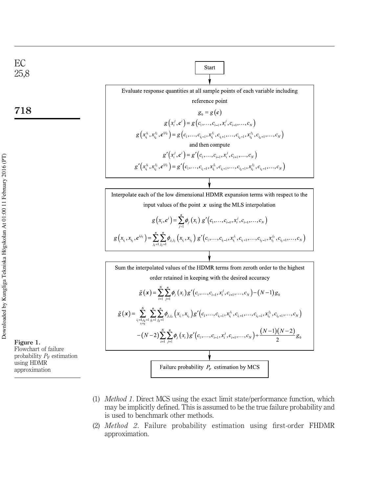

- (1) *Method 1*. Direct MCS using the exact limit state/performance function, which may be implicitly defined. This is assumed to be the true failure probability and is used to benchmark other methods.
- (2) *Method 2*. Failure probability estimation using first-order FHDMR approximation.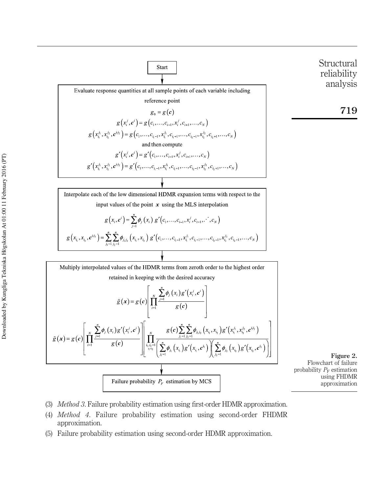

Multiply interpolated values of the HDMR terms from zeroth order to the highest order retained in keeping with the desired accuracy  $\tilde{g}(x) = g(c) \left( \prod_{i=1}^{N} \frac{\sum_{j=1}^{n} \phi_{j}(x_{i}) g'(x_{i}^{\prime}, c^{\prime})}{g(c)} \right)$  $\tilde{g}\left(\mathbf{x}\right)=g\left(c\right)\left[\prod_{i=1}^{N}\frac{\displaystyle\sum_{j=1}^{n}\phi_{j}\left(x_{i}\right)g'\left(x_{i}^{j},c^{i}\right)}{g\left(c\right)}\right]\left[\prod_{i_{1},i_{2}=1}^{N}\frac{g\left(c\right)\displaystyle\sum_{j_{1}=1}^{n}\displaystyle\sum_{j_{2}=1}^{n}\phi_{j_{1}j_{2}}\left(x_{i_{1}},x_{i_{2}}\right)g'\left(x_{i_{1}}^{j_{1}},x_{i_{2}}^{j_{2}},c^{i_{1}j_{2}}\right)}{g\left(c\right)}\right]\right]$ Failure probability  $P<sub>r</sub>$  estimation by MCS

Figure 2. Flowchart of failure probability  $P_F$  estimation using FHDMR approximation

- (3) *Method 3*. Failure probability estimation using first-order HDMR approximation.
- (4) *Method 4*. Failure probability estimation using second-order FHDMR approximation.
- (5) Failure probability estimation using second-order HDMR approximation.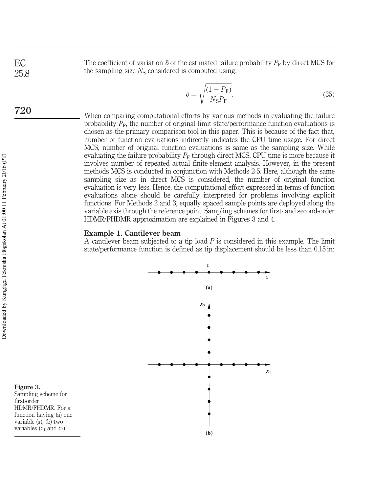The coefficient of variation  $\delta$  of the estimated failure probability  $P_F$  by direct MCS for the sampling size  $N<sub>S</sub>$  considered is computed using:

$$
\delta = \sqrt{\frac{(1 - P_{\rm F})}{N_{\rm S} P_{\rm F}}}.\tag{35}
$$

When comparing computational efforts by various methods in evaluating the failure probability  $P_F$ , the number of original limit state/performance function evaluations is chosen as the primary comparison tool in this paper. This is because of the fact that, number of function evaluations indirectly indicates the CPU time usage. For direct MCS, number of original function evaluations is same as the sampling size. While evaluating the failure probability  $P_F$  through direct MCS, CPU time is more because it involves number of repeated actual finite-element analysis. However, in the present methods MCS is conducted in conjunction with Methods 2-5. Here, although the same sampling size as in direct MCS is considered, the number of original function evaluation is very less. Hence, the computational effort expressed in terms of function evaluations alone should be carefully interpreted for problems involving explicit functions. For Methods 2 and 3, equally spaced sample points are deployed along the variable axis through the reference point. Sampling schemes for first- and second-order HDMR/FHDMR approximation are explained in Figures 3 and 4.

# Example 1. Cantilever beam

A cantilever beam subjected to a tip load *P* is considered in this example. The limit state/performance function is defined as tip displacement should be less than 0.15 in:



Figure 3. Sampling scheme for first-order HDMR/FHDMR. For a function having (a) one variable (*x*); (b) two variables  $(x_1 \text{ and } x_2)$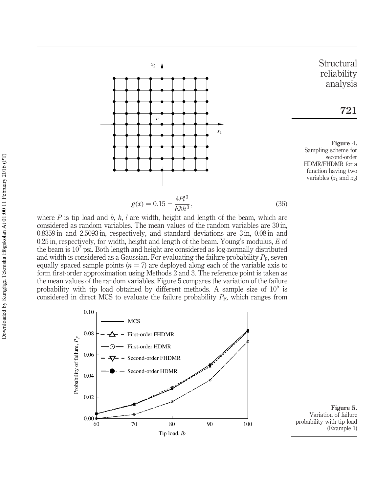

$$
g(x) = 0.15 - \frac{4Pl^3}{Ebh^3},\tag{36}
$$

where *P* is tip load and *b*, *h*, *l* are width, height and length of the beam, which are considered as random variables. The mean values of the random variables are 30 in, 0.8359 in and 2.5093 in, respectively, and standard deviations are 3 in, 0.08 in and 0.25 in, respectively, for width, height and length of the beam. Young's modulus, *E* of the beam is  $10^7$  psi. Both length and height are considered as log-normally distributed and width is considered as a Gaussian. For evaluating the failure probability  $P_F$ , seven equally spaced sample points  $(n = 7)$  are deployed along each of the variable axis to form first-order approximation using Methods 2 and 3. The reference point is taken as the mean values of the random variables. Figure 5 compares the variation of the failure probability with tip load obtained by different methods. A sample size of  $10^5$  is considered in direct MCS to evaluate the failure probability  $P_F$ , which ranges from



Figure 5. Variation of failure probability with tip load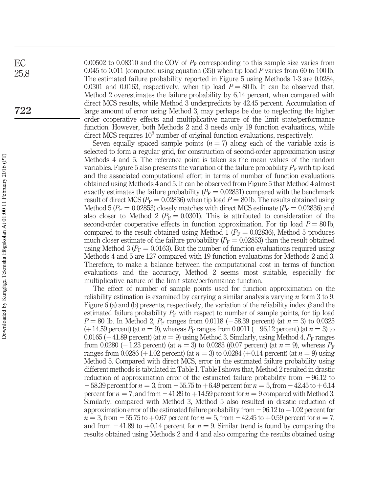0.00502 to 0.08310 and the COV of  $P_F$  corresponding to this sample size varies from 0.045 to 0.011 (computed using equation (35)) when tip load *P* varies from 60 to 100 lb. The estimated failure probability reported in Figure 5 using Methods 1-3 are 0.0284, 0.0301 and 0.0163, respectively, when tip load  $P = 80$  lb. It can be observed that, Method 2 overestimates the failure probability by 6.14 percent, when compared with direct MCS results, while Method 3 underpredicts by 42.45 percent. Accumulation of large amount of error using Method 3, may perhaps be due to neglecting the higher order cooperative effects and multiplicative nature of the limit state/performance function. However, both Methods 2 and 3 needs only 19 function evaluations, while direct MCS requires  $10^5$  number of original function evaluations, respectively.

Seven equally spaced sample points  $(n = 7)$  along each of the variable axis is selected to form a regular grid, for construction of second-order approximation using Methods 4 and 5. The reference point is taken as the mean values of the random variables. Figure 5 also presents the variation of the failure probability  $P_F$  with tip load and the associated computational effort in terms of number of function evaluations obtained using Methods 4 and 5. It can be observed from Figure 5 that Method 4 almost exactly estimates the failure probability ( $P_F = 0.02831$ ) compared with the benchmark result of direct MCS ( $P_F = 0.02836$ ) when tip load  $P = 80$  lb. The results obtained using Method 5 ( $P_F = 0.02853$ ) closely matches with direct MCS estimate ( $P_F = 0.02836$ ) and also closer to Method 2 ( $P_F = 0.0301$ ). This is attributed to consideration of the second-order cooperative effects in function approximation. For tip load  $P = 80$  lb, compared to the result obtained using Method 1 ( $P_F = 0.02836$ ), Method 5 produces much closer estimate of the failure probability ( $P_F = 0.02853$ ) than the result obtained using Method 3 ( $P_F = 0.0163$ ). But the number of function evaluations required using Methods 4 and 5 are 127 compared with 19 function evaluations for Methods 2 and 3. Therefore, to make a balance between the computational cost in terms of function evaluations and the accuracy, Method 2 seems most suitable, especially for multiplicative nature of the limit state/performance function.

The effect of number of sample points used for function approximation on the reliability estimation is examined by carrying a similar analysis varying *n* form 3 to 9. Figure 6 (a) and (b) presents, respectively, the variation of the reliability index  $\beta$  and the estimated failure probability  $P_F$  with respect to number of sample points, for tip load *P* = 80 lb. In Method 2,  $P_F$  ranges from 0.0118 (-58.39 percent) (at  $n = 3$ ) to 0.0325  $(+ 14.59$  percent) (at  $n = 9$ ), whereas  $P<sub>F</sub>$  ranges from 0.0011 (-96.12 percent) (at  $n = 3$ ) to 0.0165 ( $-41.89$  percent) (at  $n = 9$ ) using Method 3. Similarly, using Method 4,  $P_F$  ranges from 0.0280 (-1.23 percent) (at  $n = 3$ ) to 0.0283 ((0.07 percent) (at  $n = 9$ ), whereas  $P_F$ ranges from  $0.0286 + 1.02$  percent) (at  $n = 3$ ) to  $0.0284 + 0.14$  percent) (at  $n = 9$ ) using Method 5. Compared with direct MCS, error in the estimated failure probability using different methods is tabulated in Table I. Table I shows that, Method 2 resulted in drastic reduction of approximation error of the estimated failure probability from  $-96.12$  to  $-58.39$  percent for  $n = 3$ , from  $-55.75$  to  $+6.49$  percent for  $n = 5$ , from  $-42.45$  to  $+6.14$ percent for  $n = 7$ , and from  $-41.89$  to  $+14.59$  percent for  $n = 9$  compared with Method 3. Similarly, compared with Method 3, Method 5 also resulted in drastic reduction of approximation error of the estimated failure probability from  $-96.12$  to  $+1.02$  percent for  $n = 3$ , from  $-55.75$  to  $+0.67$  percent for  $n = 5$ , from  $-42.45$  to  $+0.59$  percent for  $n = 7$ , and from  $-41.89$  to  $+0.14$  percent for  $n = 9$ . Similar trend is found by comparing the results obtained using Methods 2 and 4 and also comparing the results obtained using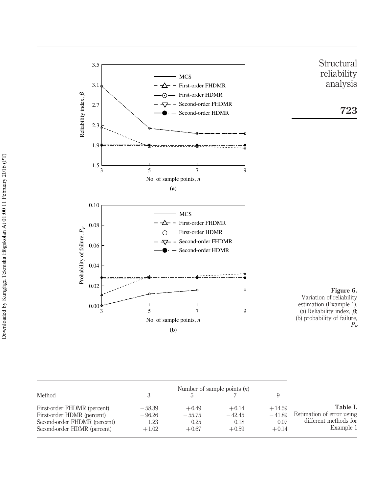

|                              |          | Number of sample points $(n)$ |          |          |                           |
|------------------------------|----------|-------------------------------|----------|----------|---------------------------|
| Method                       | 3        |                               |          | 9        |                           |
| First-order FHDMR (percent)  | $-58.39$ | $+6.49$                       | $+6.14$  | $+14.59$ | Table I.                  |
| First-order HDMR (percent)   | $-96.26$ | $-55.75$                      | $-42.45$ | $-41.89$ | Estimation of error using |
| Second-order FHDMR (percent) | $-1.23$  | $-0.25$                       | $-0.18$  | $-0.07$  | different methods for     |
| Second-order HDMR (percent)  | $+1.02$  | $+0.67$                       | $+0.59$  | $+0.14$  | Example 1                 |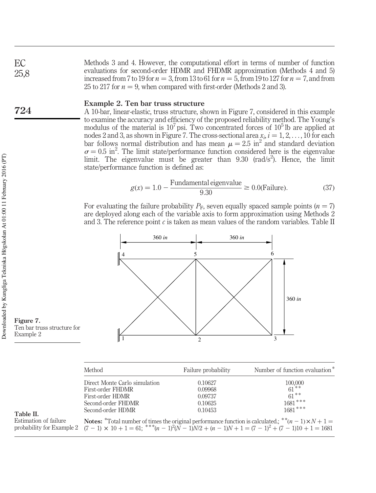Methods 3 and 4. However, the computational effort in terms of number of function evaluations for second-order HDMR and FHDMR approximation (Methods 4 and 5) increased from 7 to 19 for  $n = 3$ , from 13 to 61 for  $n = 5$ , from 19 to 127 for  $n = 7$ , and from 25 to 217 for  $n = 9$ , when compared with first-order (Methods 2 and 3).

# Example 2. Ten bar truss structure

A 10-bar, linear-elastic, truss structure, shown in Figure 7, considered in this example to examine the accuracy and efficiency of the proposed reliability method. The Young's modulus of the material is  $10^7$  psi. Two concentrated forces of  $10^5$  lb are applied at nodes 2 and 3, as shown in Figure 7. The cross-sectional area  $x_i$ ,  $i = 1, 2, \ldots, 10$  for each bar follows normal distribution and has mean  $\mu = 2.5$  in<sup>2</sup> and standard deviation  $\sigma = 0.5$  in<sup>2</sup>. The limit state/performance function considered here is the eigenvalue limit. The eigenvalue must be greater than  $9.30$  (rad/s<sup>2</sup>). Hence, the limit state/performance function is defined as:

$$
g(x) = 1.0 - \frac{\text{Fundamental eigenvalue}}{9.30} \ge 0.0 \text{(Failure)}.
$$
 (37)

For evaluating the failure probability  $P_F$ , seven equally spaced sample points ( $n = 7$ ) are deployed along each of the variable axis to form approximation using Methods 2 and 3. The reference point *c* is taken as mean values of the random variables. Table II



Figure 7. Ten bar truss structure for Example 2

Table II.

| Method                        | Failure probability | Number of function evaluation* |
|-------------------------------|---------------------|--------------------------------|
| Direct Monte Carlo simulation | 0.10627             | 100,000                        |
| First-order FHDMR             | 0.09968             | $61***$                        |
| First-order HDMR              | 0.09737             | $61***$                        |
| Second-order FHDMR            | 0.10625             | $1681***$                      |
| Second-order HDMR             | 0.10453             | $1681***$                      |
|                               |                     | イラー・エラー                        |

#### **Notes:** \*Total number of times the original performance function is calculated.; \*\* $(n-1)\times N+1$ probability for Example 2  $(7-1) \times 10 + 1 = 61$ ; \*\*\* $(n-1)^2(N-1)N/2 + (n-1)N + 1 = (7-1)^2 + (7-1)10 + 1 = 1681$ Estimation of failure

EC 25,8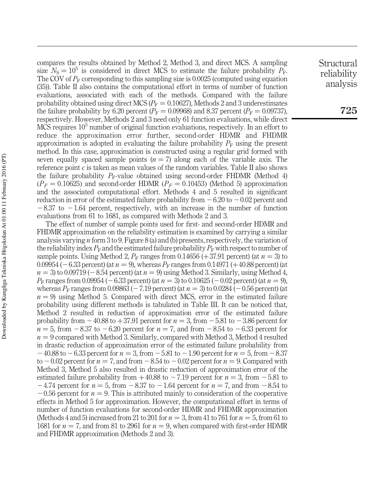compares the results obtained by Method 2, Method 3, and direct MCS. A sampling size  $N_{\rm S} = 10^5$  is considered in direct MCS to estimate the failure probability  $P_{\rm F}$ . The COV of  $P_F$  corresponding to this sampling size is 0.0025 (computed using equation (35)). Table II also contains the computational effort in terms of number of function evaluations, associated with each of the methods. Compared with the failure probability obtained using direct MCS ( $P_F = 0.10627$ ), Methods 2 and 3 underestimates the failure probability by 6.20 percent ( $P_F = 0.09968$ ) and 8.37 percent ( $P_F = 0.09737$ ), respectively. However, Methods 2 and 3 need only 61 function evaluations, while direct MCS requires 10<sup>5</sup> number of original function evaluations, respectively. In an effort to reduce the approximation error further, second-order HDMR and FHDMR approximation is adopted in evaluating the failure probability  $P_F$  using the present method. In this case, approximation is constructed using a regular grid formed with seven equally spaced sample points  $(n = 7)$  along each of the variable axis. The reference point *c* is taken as mean values of the random variables. Table II also shows the failure probability  $P_F$ -value obtained using second-order FHDMR (Method 4)  $(P_F = 0.10625)$  and second-order HDMR  $(P_F = 0.10453)$  (Method 5) approximation and the associated computational effort. Methods 4 and 5 resulted in significant reduction in error of the estimated failure probability from  $-6.20$  to  $-0.02$  percent and  $-8.37$  to  $-1.64$  percent, respectively, with an increase in the number of function evaluations from 61 to 1681, as compared with Methods 2 and 3.

The effect of number of sample points used for first- and second-order HDMR and FHDMR approximation on the reliability estimation is examined by carrying a similar analysis varying *n* form 3 to 9. Figure 8 (a) and (b) presents, respectively, the variation of the reliability index  $P_F$  and the estimated failure probability  $P_F$  with respect to number of sample points. Using Method 2,  $P_F$  ranges from 0.14656 ( $+$ 37.91 percent) (at  $n = 3$ ) to  $0.09954$  ( $-6.33$  percent) (at  $n = 9$ ), whereas  $P_F$  ranges from 0.14971 (+40.88 percent) (at  $n = 3$ ) to 0.09719 ( $- 8.54$  percent) (at  $n = 9$ ) using Method 3. Similarly, using Method 4,  $P_F$  ranges from 0.09954 (-6.33 percent) (at  $n = 3$ ) to 0.10625 (-0.02 percent) (at  $n = 9$ ), whereas  $P_F$  ranges from 0.09863 (-7.19 percent) (at  $n = 3$ ) to 0.0284 (-0.56 percent) (at  $n = 9$ ) using Method 5. Compared with direct MCS, error in the estimated failure probability using different methods is tabulated in Table III. It can be noticed that, Method 2 resulted in reduction of approximation error of the estimated failure probability from  $-40.88$  to  $+37.91$  percent for  $n = 3$ , from  $-5.81$  to  $-3.86$  percent for  $n = 5$ , from  $-8.37$  to  $-6.20$  percent for  $n = 7$ , and from  $-8.54$  to  $-6.33$  percent for  $n = 9$  compared with Method 3. Similarly, compared with Method 3, Method 4 resulted in drastic reduction of approximation error of the estimated failure probability from  $-40.88$  to  $-6.33$  percent for  $n = 3$ , from  $-5.81$  to  $-1.90$  percent for  $n = 5$ , from  $-8.37$ to  $-0.02$  percent for  $n = 7$ , and from  $-8.54$  to  $-0.02$  percent for  $n = 9$ . Compared with Method 3, Method 5 also resulted in drastic reduction of approximation error of the estimated failure probability from  $+40.88$  to  $-7.19$  percent for  $n = 3$ , from  $-5.81$  to  $-4.74$  percent for  $n = 5$ , from  $-8.37$  to  $-1.64$  percent for  $n = 7$ , and from  $-8.54$  to  $-0.56$  percent for  $n = 9$ . This is attributed mainly to consideration of the cooperative effects in Method 5 for approximation. However, the computational effort in terms of number of function evaluations for second-order HDMR and FHDMR approximation (Methods 4 and 5) increased from 21 to 201 for  $n = 3$ , from 41 to 761 for  $n = 5$ , from 61 to 1681 for  $n = 7$ , and from 81 to 2961 for  $n = 9$ , when compared with first-order HDMR and FHDMR approximation (Methods 2 and 3).

Structural reliability analysis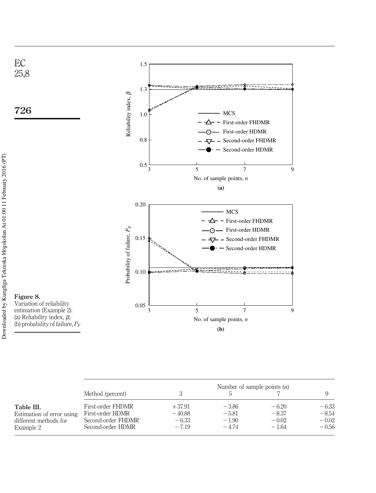

| Downloa | (a) indicating index, $\mu$ ,<br>(b) probability of failure, $P_F$ |                  |
|---------|--------------------------------------------------------------------|------------------|
|         |                                                                    | Method (percent) |

|                                                                               |                                                                                  | Number of sample points $(n)$              |                                          |                                          |                                          |
|-------------------------------------------------------------------------------|----------------------------------------------------------------------------------|--------------------------------------------|------------------------------------------|------------------------------------------|------------------------------------------|
|                                                                               | Method (percent)                                                                 |                                            |                                          |                                          |                                          |
| Table III.<br>Estimation of error using<br>different methods for<br>Example 2 | First-order FHDMR<br>First-order HDMR<br>Second-order FHDMR<br>Second-order HDMR | $+37.91$<br>$-40.88$<br>$-6.33$<br>$-7.19$ | $-3.86$<br>$-5.81$<br>$-1.90$<br>$-4.74$ | $-6.20$<br>$-8.37$<br>$-0.02$<br>$-1.64$ | $-6.33$<br>$-8.54$<br>$-0.02$<br>$-0.56$ |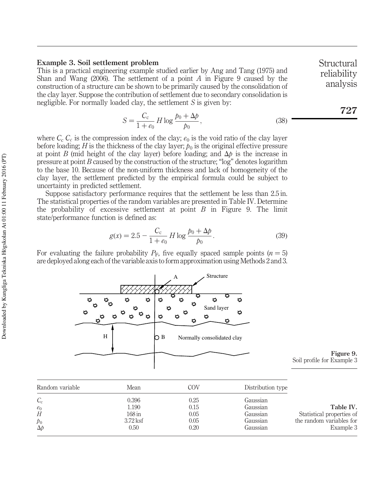#### Example 3. Soil settlement problem

This is a practical engineering example studied earlier by Ang and Tang (1975) and Shan and Wang (2006). The settlement of a point *A* in Figure 9 caused by the construction of a structure can be shown to be primarily caused by the consolidation of the clay layer. Suppose the contribution of settlement due to secondary consolidation is negligible. For normally loaded clay, the settlement *S* is given by:

$$
S = \frac{C_{\rm c}}{1 + e_0} H \log \frac{p_0 + \Delta p}{p_0},
$$
\n(38)

where  $C_c$   $C_c$  is the compression index of the clay;  $e_0$  is the void ratio of the clay layer before loading;  $H$  is the thickness of the clay layer;  $p_0$  is the original effective pressure at point *B* (mid height of the clay layer) before loading; and  $\Delta p$  is the increase in pressure at point *B* caused by the construction of the structure; "log" denotes logarithm to the base 10. Because of the non-uniform thickness and lack of homogeneity of the clay layer, the settlement predicted by the empirical formula could be subject to uncertainty in predicted settlement.

Suppose satisfactory performance requires that the settlement be less than 2.5 in. The statistical properties of the random variables are presented in Table IV. Determine the probability of excessive settlement at point *B* in Figure 9. The limit state/performance function is defined as:

$$
g(x) = 2.5 - \frac{C_c}{1 + e_0} H \log \frac{p_0 + \Delta p}{p_0}.
$$
 (39)

For evaluating the failure probability  $P_F$ , five equally spaced sample points ( $n = 5$ ) are deployed along each of the variable axis to form approximation using Methods 2 and 3.

> Figure 9. Soil profile for Example 3

| Random variable     | Mean               | COV          | Distribution type    |                                       |
|---------------------|--------------------|--------------|----------------------|---------------------------------------|
| $C_{c}$             | 0.396<br>1.190     | 0.25<br>0.15 | Gaussian<br>Gaussian | Table IV.                             |
| $e_0$<br>Н          | 168 in             | 0.05         | Gaussian             | Statistical properties of             |
| $p_0$<br>$\Delta p$ | $3.72$ ksf<br>0.50 | 0.05<br>0.20 | Gaussian<br>Gaussian | the random variables for<br>Example 3 |

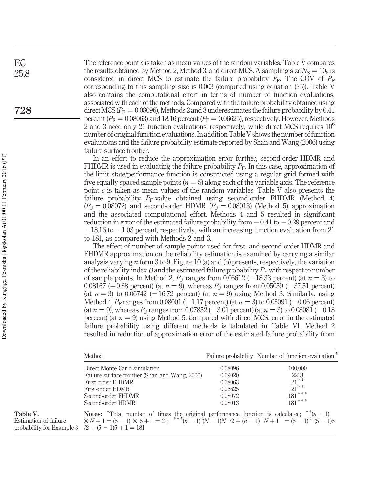The reference point  $c$  is taken as mean values of the random variables. Table V compares the results obtained by Method 2, Method 3, and direct MCS. A sampling size  $N_{\rm S} = 10_6$  is considered in direct MCS to estimate the failure probability  $P_F$ . The COV of  $P_F$ corresponding to this sampling size is 0.003 (computed using equation (35)). Table V also contains the computational effort in terms of number of function evaluations, associated with each of the methods. Compared with the failure probability obtained using direct MCS ( $P_F = 0.08096$ ), Methods 2 and 3 underestimates the failure probability by 0.41 percent ( $P_F = 0.08063$ ) and 18.16 percent ( $P_F = 0.06625$ ), respectively. However, Methods 2 and 3 need only 21 function evaluations, respectively, while direct MCS requires  $10^{\circ}$ number of original function evaluations. In addition Table V shows the number of function evaluations and the failure probability estimate reported by Shan and Wang (2006) using failure surface frontier.

In an effort to reduce the approximation error further, second-order HDMR and FHDMR is used in evaluating the failure probability  $P<sub>F</sub>$ . In this case, approximation of the limit state/performance function is constructed using a regular grid formed with five equally spaced sample points  $(n = 5)$  along each of the variable axis. The reference point  $c$  is taken as mean values of the random variables. Table V also presents the failure probability  $P_F$ -value obtained using second-order FHDMR (Method 4)  $(P_F = 0.08072)$  and second-order HDMR  $(P_F = 0.08013)$  (Method 5) approximation and the associated computational effort. Methods 4 and 5 resulted in significant reduction in error of the estimated failure probability from  $-0.41$  to  $-0.29$  percent and  $-18.16$  to  $-1.03$  percent, respectively, with an increasing function evaluation from 21 to 181, as compared with Methods 2 and 3.

The effect of number of sample points used for first- and second-order HDMR and FHDMR approximation on the reliability estimation is examined by carrying a similar analysis varying *n* form 3 to 9. Figure 10 (a) and (b) presents, respectively, the variation of the reliability index  $\beta$  and the estimated failure probability  $P_F$  with respect to number of sample points. In Method 2,  $P_F$  ranges from 0.06612 (-18.33 percent) (at  $n = 3$ ) to 0.08167 (+0.88 percent) (at  $n = 9$ ), whereas  $P_F$  ranges from 0.05059 (-37.51 percent) (at  $n = 3$ ) to 0.06742 (-16.72 percent) (at  $n = 9$ ) using Method 3. Similarly, using Method 4,  $P_F$  ranges from 0.08001 ( $-1.17$  percent) (at  $n = 3$ ) to 0.08091 ( $-0.06$  percent)  $(\text{at } n = 9)$ , whereas  $P_F$  ranges from 0.07852 (-3.01 percent) (at  $n = 3$ ) to 0.08081 (-0.18) percent) (at  $n = 9$ ) using Method 5. Compared with direct MCS, error in the estimated failure probability using different methods is tabulated in Table VI. Method 2 resulted in reduction of approximation error of the estimated failure probability from

| Method                                         |         | Failure probability Number of function evaluation <sup>*</sup> |
|------------------------------------------------|---------|----------------------------------------------------------------|
| Direct Monte Carlo simulation                  | 0.08096 | 100,000                                                        |
| Failure surface frontier (Shan and Wang, 2006) | 0.09020 | 2213                                                           |
| First-order FHDMR                              | 0.08063 | $21**$                                                         |
| First-order HDMR                               | 0.06625 | $21***$                                                        |
| Second-order FHDMR                             | 0.08072 | $181***$                                                       |
| Second-order HDMR                              | 0.08013 | $181***$                                                       |

 $X N + 1 = (5 - 1) X 5 +$  $(N-1)N/2 + (n-1)N + 1 = (5-1)^2$ :ا probability for Example 3  $/2 + (5 - 1)5 + 1 = 181$ Table V. Estimation of failure

EC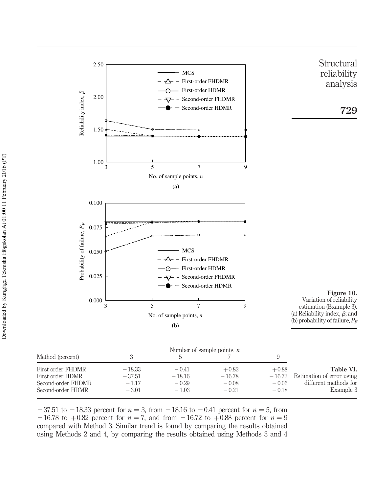

 $-37.51$  to  $-18.33$  percent for  $n = 3$ , from  $-18.16$  to  $-0.41$  percent for  $n = 5$ , from  $-16.78$  to  $+0.82$  percent for  $n = 7$ , and from  $-16.72$  to  $+0.88$  percent for  $n = 9$ compared with Method 3. Similar trend is found by comparing the results obtained using Methods 2 and 4, by comparing the results obtained using Methods 3 and 4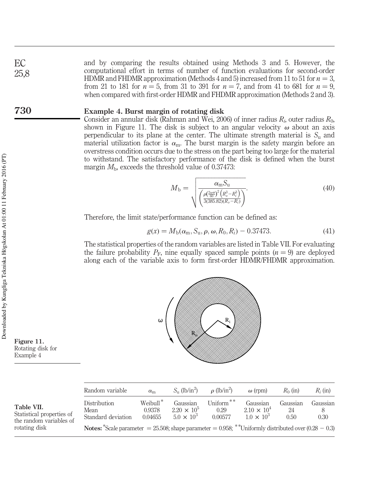and by comparing the results obtained using Methods 3 and 5. However, the computational effort in terms of number of function evaluations for second-order HDMR and FHDMR approximation (Methods 4 and 5) increased from 11 to 51 for  $n=3$ , from 21 to 181 for  $n = 5$ , from 31 to 391 for  $n = 7$ , and from 41 to 681 for  $n = 9$ , when compared with first-order HDMR and FHDMR approximation (Methods 2 and 3).

## Example 4. Burst margin of rotating disk

Consider an annular disk (Rahman and Wei, 2006) of inner radius  $R_i$ , outer radius  $R_0$ , shown in Figure 11. The disk is subject to an angular velocity  $\omega$  about an axis perpendicular to its plane at the center. The ultimate strength material is  $S_u$  and material utilization factor is  $\alpha_{\rm m}$ . The burst margin is the safety margin before an overstress condition occurs due to the stress on the part being too large for the material to withstand. The satisfactory performance of the disk is defined when the burst margin  $M_{\rm b}$ , exceeds the threshold value of 0.37473:

$$
M_{\rm b} = \sqrt{\frac{\alpha_{\rm m} S_{\rm u}}{\left(\frac{\rho(\frac{2\omega\sigma}{\omega})^2 \left(R_o^3 - R_i^3\right)}{3(385.82)(R_o - R_i)}\right)}}.
$$
(40)

Therefore, the limit state/performance function can be defined as:

$$
g(x) = M_b(\alpha_m, S_u, \rho, \omega, R_0, R_i) - 0.37473.
$$
 (41)

The statistical properties of the random variables are listed in Table VII. For evaluating the failure probability  $P_F$ , nine equally spaced sample points ( $n = 9$ ) are deployed along each of the variable axis to form first-order HDMR/FHDMR approximation.



Figure 11. Rotating disk for Example 4

| Uniform $**$<br>Gaussian<br>Weibull <sup>*</sup><br>Gaussian<br>Gaussian<br>Distribution<br>Table VII.<br>$2.20 \times 10^{5}$<br>$2.10 \times 10^{4}$<br>0.29<br>0.9378<br>24<br>Mean<br>Statistical properties of<br>$5.0 \times 10^{3}$<br>$1.0 \times 10^{3}$<br>Standard deviation<br>0.00577<br>0.04655<br>0.50<br>the random variables of<br><b>Notes:</b> "Scale parameter = 25.508; shape parameter = $0.958$ ; ""Uniformly distributed over $(0.28 - 0.3)$ "<br>rotating disk | Gaussian<br>8<br>0.30 |
|-----------------------------------------------------------------------------------------------------------------------------------------------------------------------------------------------------------------------------------------------------------------------------------------------------------------------------------------------------------------------------------------------------------------------------------------------------------------------------------------|-----------------------|

EC 25,8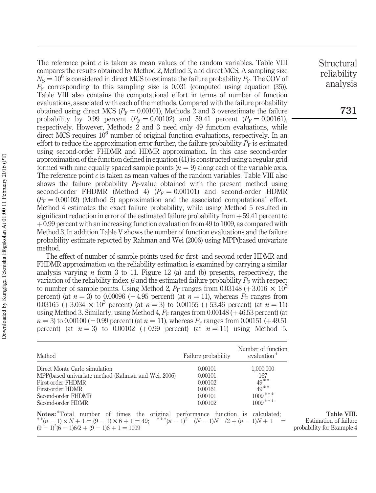The reference point *c* is taken as mean values of the random variables. Table VIII compares the results obtained by Method 2, Method 3, and direct MCS. A sampling size  $N_{\rm S} = 10^6$  is considered in direct MCS to estimate the failure probability  $P_{\rm F}$ . The COV of *P*<sup>F</sup> corresponding to this sampling size is 0.031 (computed using equation (35)). Table VIII also contains the computational effort in terms of number of function evaluations, associated with each of the methods. Compared with the failure probability obtained using direct MCS ( $P_F = 0.00101$ ), Methods 2 and 3 overestimate the failure probability by 0.99 percent ( $P_F = 0.00102$ ) and 59.41 percent ( $P_F = 0.00161$ ), respectively. However, Methods 2 and 3 need only 49 function evaluations, while direct MCS requires 10<sup>6</sup> number of original function evaluations, respectively. In an effort to reduce the approximation error further, the failure probability  $P_F$  is estimated using second-order FHDMR and HDMR approximation. In this case second-order approximation of the function defined in equation (41) is constructed using a regular grid formed with nine equally spaced sample points  $(n = 9)$  along each of the variable axis. The reference point  $c$  is taken as mean values of the random variables. Table VIII also shows the failure probability  $P_F$ -value obtained with the present method using second-order FHDMR (Method 4)  $(P_F = 0.00101)$  and second-order HDMR  $(P_F = 0.00102)$  (Method 5) approximation and the associated computational effort. Method 4 estimates the exact failure probability, while using Method 5 resulted in significant reduction in error of the estimated failure probability from  $+59.41$  percent to  $+0.99$  percent with an increasing function evaluation from 49 to 1009, as compared with Method 3. In addition Table V shows the number of function evaluations and the failure probability estimate reported by Rahman and Wei (2006) using MPP(based univariate method.

The effect of number of sample points used for first- and second-order HDMR and FHDMR approximation on the reliability estimation is examined by carrying a similar analysis varying *n* form 3 to 11. Figure 12 (a) and (b) presents, respectively, the variation of the reliability index  $\beta$  and the estimated failure probability  $P_F$  with respect to number of sample points. Using Method 2,  $P_F$  ranges from 0.03148 (+3.016  $\times$  10<sup>3</sup> percent) (at  $n = 3$ ) to 0.00096 (-4.95 percent) (at  $n = 11$ ), whereas  $P_F$  ranges from 0.03165  $(+3.034 \times 10^3$  percent) (at  $n = 3$ ) to 0.00155  $(+53.46$  percent) (at  $n = 11$ ) using Method 3. Similarly, using Method 4,  $P_F$  ranges from 0.00148 ( $+$ 46.53 percent) (at  $n = 3$ ) to 0.00100 (-0.99 percent) (at  $n = 11$ ), whereas  $P_F$  ranges from 0.00151 (+49.51) percent) (at  $n = 3$ ) to 0.00102 (+0.99 percent) (at  $n = 11$ ) using Method 5.

| Method                                                                                                          | Failure probability | Number of function<br>evaluation <sup>*</sup> |
|-----------------------------------------------------------------------------------------------------------------|---------------------|-----------------------------------------------|
| Direct Monte Carlo simulation                                                                                   | 0.00101             | 1,000,000                                     |
| MPP(based univariate method (Rahman and Wei, 2006)                                                              | 0.00101             | 167                                           |
| First-order FHDMR                                                                                               | 0.00102             | $49***$                                       |
| First-order HDMR                                                                                                | 0.00161             | $49***$                                       |
| Second-order FHDMR                                                                                              | 0.00101             | $1009***$                                     |
| Second-order HDMR                                                                                               | 0.00102             | $1009***$                                     |
| Notes: "Total number of times the original performance function is calculated;                                  |                     |                                               |
| **(n - 1) $\times N + 1 = (9 - 1) \times 6 + 1 = 49$ ; ***(n - 1) <sup>2</sup> $(N - 1)N$ $/2 + (n - 1)N + 1 =$ |                     |                                               |

 $(9-1)^2(6-1)6/2 + (9-1)6 + 1 = 1009$ 

Table VIII. Estimation of failure probability for Example 4

731

**Structural** reliability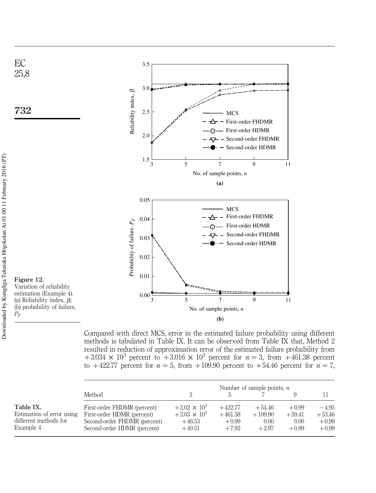

**(b)**

Compared with direct MCS, error in the estimated failure probability using different methods is tabulated in Table IX. It can be observed from Table IX that, Method 2 resulted in reduction of approximation error of the estimated failure probability from +3.034  $\times$  10<sup>3</sup> percent to +3.016  $\times$  10<sup>3</sup> percent for *n* = 3, from +461.38 percent to  $+422.77$  percent for  $n = 5$ , from  $+109.90$  percent to  $+54.46$  percent for  $n = 7$ ,

|                           | Method                       |                       |           | Number of sample points, $n$ |          |          |
|---------------------------|------------------------------|-----------------------|-----------|------------------------------|----------|----------|
| Table IX.                 | First-order FHDMR (percent)  | $+3.02 \times 10^{3}$ | $+422.77$ | $+54.46$                     | $+0.99$  | $-4.95$  |
| Estimation of error using | First-order HDMR (percent)   | $+3.03 \times 10^{3}$ | $+461.38$ | $+109.90$                    | $+59.41$ | $+53.46$ |
| different methods for     | Second-order FHDMR (percent) | $+46.53$              | $+0.99$   | 0.00                         | 0.00     | $+0.99$  |
| Example 4                 | Second-order HDMR (percent)  | $+49.51$              | $+7.92$   | $+2.97$                      | $+0.99$  | $+0.99$  |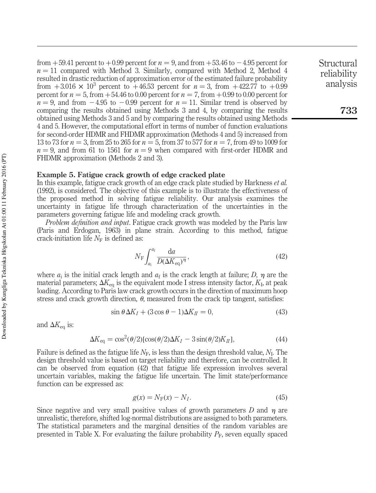from  $+59.41$  percent to  $+0.99$  percent for  $n = 9$ , and from  $+53.46$  to  $-4.95$  percent for  $n = 11$  compared with Method 3. Similarly, compared with Method 2, Method 4 resulted in drastic reduction of approximation error of the estimated failure probability from  $+3.016 \times 10^3$  percent to  $+46.53$  percent for  $n = 3$ , from  $+422.77$  to  $+0.99$ percent for  $n = 5$ , from  $+54.46$  to 0.00 percent for  $n = 7$ , from  $+0.99$  to 0.00 percent for  $n = 9$ , and from  $-4.95$  to  $-0.99$  percent for  $n = 11$ . Similar trend is observed by comparing the results obtained using Methods 3 and 4, by comparing the results obtained using Methods 3 and 5 and by comparing the results obtained using Methods 4 and 5. However, the computational effort in terms of number of function evaluations for second-order HDMR and FHDMR approximation (Methods 4 and 5) increased from 13 to 73 for  $n = 3$ , from 25 to 265 for  $n = 5$ , from 37 to 577 for  $n = 7$ , from 49 to 1009 for  $n = 9$ , and from 61 to 1561 for  $n = 9$  when compared with first-order HDMR and FHDMR approximation (Methods 2 and 3).

# Example 5. Fatigue crack growth of edge cracked plate

In this example, fatigue crack growth of an edge crack plate studied by Harkness *et al.* (1992), is considered. The objective of this example is to illustrate the effectiveness of the proposed method in solving fatigue reliability. Our analysis examines the uncertainty in fatigue life through characterization of the uncertainties in the parameters governing fatigue life and modeling crack growth.

*Problem definition and input*. Fatigue crack growth was modeled by the Paris law (Paris and Erdogan, 1963) in plane strain. According to this method, fatigue crack-initiation life  $N_F$  is defined as:

$$
N_{\rm F} \int_{a_{\rm i}}^{a_{\rm f}} \frac{\mathrm{d}a}{D(\Delta K_{\rm eq})^{\eta}},\tag{42}
$$

where  $a_i$  is the initial crack length and  $a_f$  is the crack length at failure; *D*,  $\eta$  are the material parameters;  $\Delta K_{\rm eq}$  is the equivalent mode I stress intensity factor,  $K_{\rm L}$  at peak loading. According to Paris law crack growth occurs in the direction of maximum hoop stress and crack growth direction,  $\theta$ , measured from the crack tip tangent, satisfies:

$$
\sin \theta \Delta K_I + (3\cos \theta - 1)\Delta K_{II} = 0,\tag{43}
$$

and  $\Delta K_{\text{eq}}$  is:

$$
\Delta K_{\text{eq}} = \cos^2(\theta/2) [\cos(\theta/2)\Delta K_I - 3\sin(\theta/2)K_{II}],\tag{44}
$$

Failure is defined as the fatigue life  $N_{\rm F}$ , is less than the design threshold value,  $N_{\rm L}$  The design threshold value is based on target reliability and therefore, can be controlled. It can be observed from equation (42) that fatigue life expression involves several uncertain variables, making the fatigue life uncertain. The limit state/performance function can be expressed as:

$$
g(x) = N_{\mathcal{F}}(x) - N_I.
$$
\n<sup>(45)</sup>

Since negative and very small positive values of growth parameters  $D$  and  $\eta$  are unrealistic, therefore, shifted log-normal distributions are assigned to both parameters. The statistical parameters and the marginal densities of the random variables are presented in Table X. For evaluating the failure probability  $P_F$ , seven equally spaced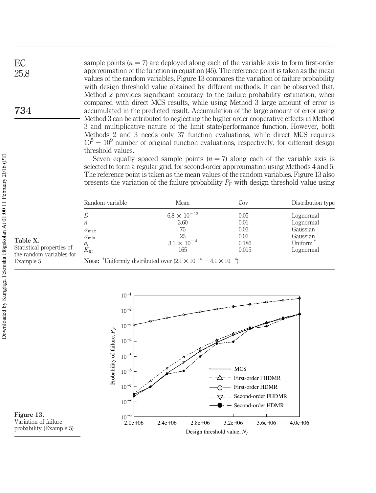sample points  $(n = 7)$  are deployed along each of the variable axis to form first-order approximation of the function in equation (45). The reference point is taken as the mean values of the random variables. Figure 13 compares the variation of failure probability with design threshold value obtained by different methods. It can be observed that, Method 2 provides significant accuracy to the failure probability estimation, when compared with direct MCS results, while using Method 3 large amount of error is accumulated in the predicted result. Accumulation of the large amount of error using Method 3 can be attributed to neglecting the higher order cooperative effects in Method 3 and multiplicative nature of the limit state/performance function. However, both Methods 2 and 3 needs only 37 function evaluations, while direct MCS requires  $10^5 - 10^9$  number of original function evaluations, respectively, for different design threshold values.

Seven equally spaced sample points  $(n = 7)$  along each of the variable axis is selected to form a regular grid, for second-order approximation using Methods 4 and 5. The reference point is taken as the mean values of the random variables. Figure 13 also presents the variation of the failure probability  $P_F$  with design threshold value using

| Random variable    | Mean                                                                                 | Cov   | Distribution type    |
|--------------------|--------------------------------------------------------------------------------------|-------|----------------------|
|                    | $6.8 \times 10^{-12}$                                                                | 0.05  | Lognormal            |
| $\boldsymbol{n}$   | 3.60                                                                                 | 0.01  | Lognormal            |
| $\sigma_{\rm max}$ | 75                                                                                   | 0.03  | Gaussian             |
| $\sigma_{\min}$    | 25                                                                                   | 0.03  | Gaussian             |
| $a_i$              | $3.1 \times 10^{-4}$                                                                 | 0.186 | Uniform <sup>*</sup> |
| $K_{\rm IC}$       | 165                                                                                  | 0.015 | Lognormal            |
|                    | <b>Note:</b> *Uniformly distributed over $(2.1 \times 10^{-4} - 4.1 \times 10^{-4})$ |       |                      |



Table X. Statistical properties of the random variables for Example 5





EC 25,8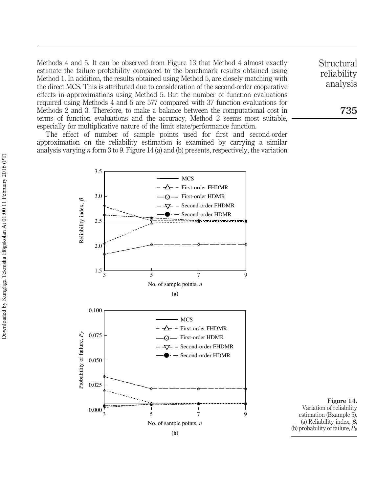Methods 4 and 5. It can be observed from Figure 13 that Method 4 almost exactly estimate the failure probability compared to the benchmark results obtained using Method 1. In addition, the results obtained using Method 5, are closely matching with the direct MCS. This is attributed due to consideration of the second-order cooperative effects in approximations using Method 5. But the number of function evaluations required using Methods 4 and 5 are 577 compared with 37 function evaluations for Methods 2 and 3. Therefore, to make a balance between the computational cost in terms of function evaluations and the accuracy, Method 2 seems most suitable, especially for multiplicative nature of the limit state/performance function.

The effect of number of sample points used for first and second-order approximation on the reliability estimation is examined by carrying a similar analysis varying *n* form 3 to 9. Figure 14 (a) and (b) presents, respectively, the variation



Figure 14. Variation of reliability estimation (Example 5). (a) Reliability index,  $\beta$ ; (b) probability of failure,  $P_F$ 

**Structural** reliability analysis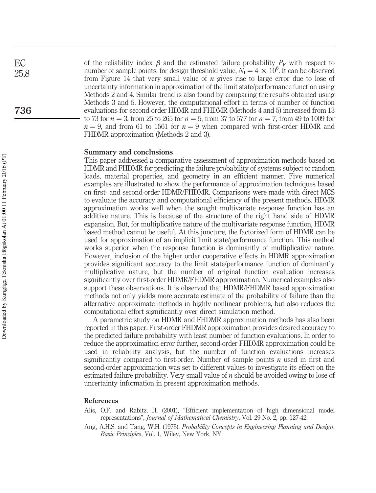of the reliability index  $\beta$  and the estimated failure probability  $P_F$  with respect to number of sample points, for design threshold value,  $N_I = 4 \times 10^6$ . It can be observed from Figure 14 that very small value of *n* gives rise to large error due to lose of uncertainty information in approximation of the limit state/performance function using Methods 2 and 4. Similar trend is also found by comparing the results obtained using Methods 3 and 5. However, the computational effort in terms of number of function evaluations for second-order HDMR and FHDMR (Methods 4 and 5) increased from 13 to 73 for  $n = 3$ , from 25 to 265 for  $n = 5$ , from 37 to 577 for  $n = 7$ , from 49 to 1009 for  $n = 9$ , and from 61 to 1561 for  $n = 9$  when compared with first-order HDMR and FHDMR approximation (Methods 2 and 3).

#### Summary and conclusions

This paper addressed a comparative assessment of approximation methods based on HDMR and FHDMR for predicting the failure probability of systems subject to random loads, material properties, and geometry in an efficient manner. Five numerical examples are illustrated to show the performance of approximation techniques based on first- and second-order HDMR/FHDMR. Comparisons were made with direct MCS to evaluate the accuracy and computational efficiency of the present methods. HDMR approximation works well when the sought multivariate response function has an additive nature. This is because of the structure of the right hand side of HDMR expansion. But, for multiplicative nature of the multivariate response function, HDMR based method cannot be useful. At this juncture, the factorized form of HDMR can be used for approximation of an implicit limit state/performance function. This method works superior when the response function is dominantly of multiplicative nature. However, inclusion of the higher order cooperative effects in HDMR approximation provides significant accuracy to the limit state/performance function of dominantly multiplicative nature, but the number of original function evaluation increases significantly over first-order HDMR/FHDMR approximation. Numerical examples also support these observations. It is observed that HDMR/FHDMR based approximation methods not only yields more accurate estimate of the probability of failure than the alternative approximate methods in highly nonlinear problems, but also reduces the computational effort significantly over direct simulation method.

A parametric study on HDMR and FHDMR approximation methods has also been reported in this paper. First-order FHDMR approximation provides desired accuracy to the predicted failure probability with least number of function evaluations. In order to reduce the approximation error further, second-order FHDMR approximation could be used in reliability analysis, but the number of function evaluations increases significantly compared to first-order. Number of sample points *n* used in first and second-order approximation was set to different values to investigate its effect on the estimated failure probability. Very small value of *n* should be avoided owing to lose of uncertainty information in present approximation methods.

# References

- Alis, O.F. and Rabitz, H. (2001), "Efficient implementation of high dimensional model representations", *Journal of Mathematical Chemistry*, Vol. 29 No. 2, pp. 127-42.
- Ang, A.H.S. and Tang, W.H. (1975), *Probability Concepts in Engineering Planning and Design*, *Basic Principles*, Vol. 1, Wiley, New York, NY.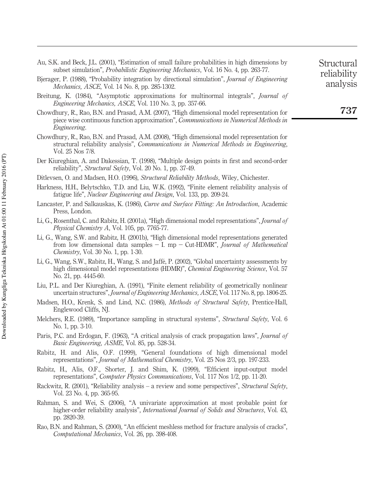Au, S.K. and Beck, J.L. (2001), "Estimation of small failure probabilities in high dimensions by subset simulation", *Probabilistic Engineering Mechanics*, Vol. 16 No. 4, pp. 263-77.

- Bjerager, P. (1988), "Probability integration by directional simulation", *Journal of Engineering Mechanics, ASCE*, Vol. 14 No. 8, pp. 285-1302.
- Breitung, K. (1984), "Asymptotic approximations for multinormal integrals", *Journal of Engineering Mechanics, ASCE*, Vol. 110 No. 3, pp. 357-66.
- Chowdhury, R., Rao, B.N. and Prasad, A.M. (2007), "High dimensional model representation for piece wise continuous function approximation", *Communications in Numerical Methods in Engineering*.
- Chowdhury, R., Rao, B.N. and Prasad, A.M. (2008), "High dimensional model representation for structural reliability analysis", *Communications in Numerical Methods in Engineering*, Vol. 25 Nos 7/8.
- Der Kiureghian, A. and Dakessian, T. (1998), "Multiple design points in first and second-order reliability", *Structural Safety*, Vol. 20 No. 1, pp. 37-49.
- Ditlevsen, O. and Madsen, H.O. (1996), *Structural Reliability Methods*, Wiley, Chichester.
- Harkness, H.H., Belytschko, T.D. and Liu, W.K. (1992), "Finite element reliability analysis of fatigue life", *Nuclear Engineering and Design*, Vol. 133, pp. 209-24.
- Lancaster, P. and Salkauskas, K. (1986), *Curve and Surface Fitting: An Introduction*, Academic Press, London.
- Li, G., Rosenthal, C. and Rabitz, H. (2001a), "High dimensional model representations", *Journal of Physical Chemistry A*, Vol. 105, pp. 7765-77.
- Li, G., Wang, S.W. and Rabitz, H. (2001b), "High dimensional model representations generated from low dimensional data samples 2 I. mp 2 Cut-HDMR", *Journal of Mathematical Chemistry*, Vol. 30 No. 1, pp. 1-30.
- Li, G., Wang, S.W., Rabitz, H., Wang, S. and Jaffé, P. (2002), "Global uncertainty assessments by high dimensional model representations (HDMR)", *Chemical Engineering Science*, Vol. 57 No. 21, pp. 4445-60.
- Liu, P.L. and Der Kiureghian, A. (1991), "Finite element reliability of geometrically nonlinear uncertain structures", *Journal of Engineering Mechanics, ASCE*, Vol. 117 No. 8, pp. 1806-25.
- Madsen, H.O., Krenk, S. and Lind, N.C. (1986), *Methods of Structural Safety*, Prentice-Hall, Englewood Cliffs, NJ.
- Melchers, R.E. (1989), "Importance sampling in structural systems", *Structural Safety*, Vol. 6 No. 1, pp. 3-10.
- Paris, P.C. and Erdogan, F. (1963), "A critical analysis of crack propagation laws", *Journal of Basic Engineering, ASME*, Vol. 85, pp. 528-34.
- Rabitz, H. and Alis, O.F. (1999), "General foundations of high dimensional model representations", *Journal of Mathematical Chemistry*, Vol. 25 Nos 2/3, pp. 197-233.
- Rabitz, H., Alis, O.F., Shorter, J. and Shim, K. (1999), "Efficient input-output model representations", *Computer Physics Communications*, Vol. 117 Nos 1/2, pp. 11-20.
- Rackwitz, R. (2001), "Reliability analysis a review and some perspectives", *Structural Safety*, Vol. 23 No. 4, pp. 365-95.
- Rahman, S. and Wei, S. (2006), "A univariate approximation at most probable point for higher-order reliability analysis", *International Journal of Solids and Structures*, Vol. 43, pp. 2820-39.
- Rao, B.N. and Rahman, S. (2000), "An efficient meshless method for fracture analysis of cracks", *Computational Mechanics*, Vol. 26, pp. 398-408.

Structural reliability analysis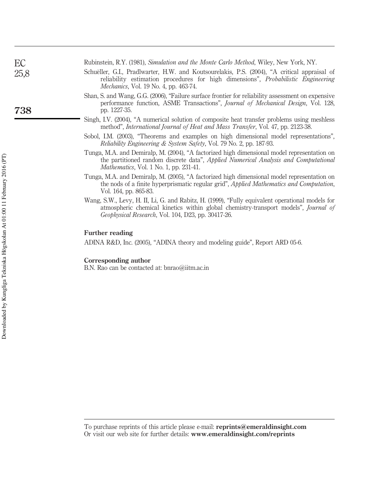- Rubinstein, R.Y. (1981), *Simulation and the Monte Carlo Method*, Wiley, New York, NY.
- Schueller, G.I., Pradlwarter, H.W. and Koutsourelakis, P.S. (2004), "A critical appraisal of reliability estimation procedures for high dimensions", *Probabilistic Engineering Mechanics*, Vol. 19 No. 4, pp. 463-74.
- Shan, S. and Wang, G.G. (2006), "Failure surface frontier for reliability assessment on expensive performance function, ASME Transactions", *Journal of Mechanical Design*, Vol. 128, pp. 1227-35.
- Singh, I.V. (2004), "A numerical solution of composite heat transfer problems using meshless method", *International Journal of Heat and Mass Transfer*, Vol. 47, pp. 2123-38.
- Sobol, I.M. (2003), "Theorems and examples on high dimensional model representations", *Reliability Engineering & System Safety*, Vol. 79 No. 2, pp. 187-93.
- Tunga, M.A. and Demiralp, M. (2004), "A factorized high dimensional model representation on the partitioned random discrete data", *Applied Numerical Analysis and Computational Mathematics*, Vol. 1 No. 1, pp. 231-41.
- Tunga, M.A. and Demiralp, M. (2005), "A factorized high dimensional model representation on the nods of a finite hyperprismatic regular grid", *Applied Mathematics and Computation*, Vol. 164, pp. 865-83.
- Wang, S.W., Levy, H. II, Li, G. and Rabitz, H. (1999), "Fully equivalent operational models for atmospheric chemical kinetics within global chemistry-transport models", *Journal of Geophysical Research*, Vol. 104, D23, pp. 30417-26.

## Further reading

ADINA R&D, Inc. (2005), "ADINA theory and modeling guide", Report ARD 05-6.

#### Corresponding author

B.N. Rao can be contacted at: bnrao@iitm.ac.in

To purchase reprints of this article please e-mail: reprints@emeraldinsight.com Or visit our web site for further details: www.emeraldinsight.com/reprints